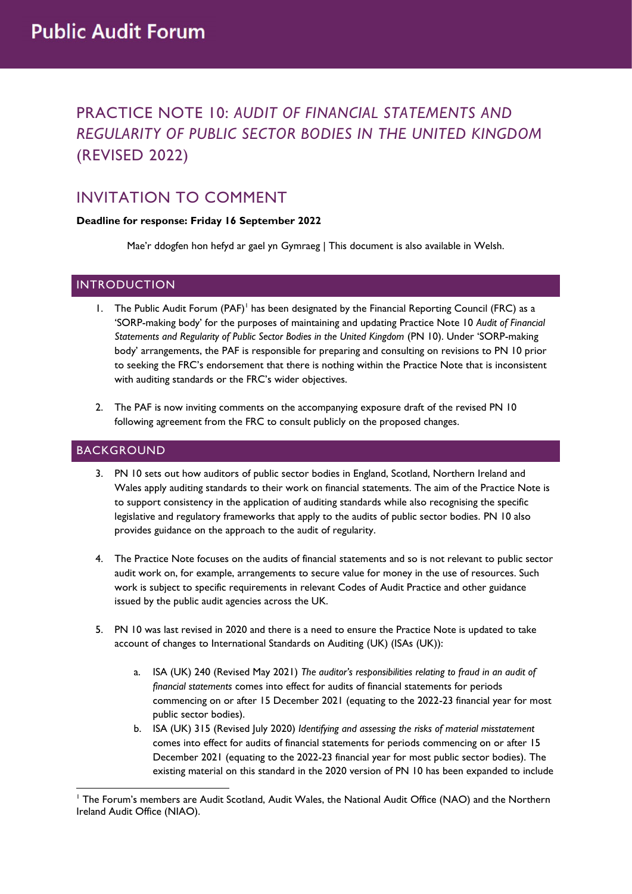# PRACTICE NOTE 10: *AUDIT OF FINANCIAL STATEMENTS AND REGULARITY OF PUBLIC SECTOR BODIES IN THE UNITED KINGDOM* (REVISED 2022)

## INVITATION TO COMMENT

#### **Deadline for response: Friday 16 September 2022**

Mae'r ddogfen hon hefyd ar gael yn Gymraeg | This document is also available in Welsh.

#### **INTRODUCTION**

- 1. The Public Audit Forum (PAF)<sup>1</sup> has been designated by the Financial Reporting Council (FRC) as a 'SORP-making body' for the purposes of maintaining and updating Practice Note 10 *Audit of Financial Statements and Regularity of Public Sector Bodies in the United Kingdom* (PN 10). Under 'SORP-making body' arrangements, the PAF is responsible for preparing and consulting on revisions to PN 10 prior to seeking the FRC's endorsement that there is nothing within the Practice Note that is inconsistent with auditing standards or the FRC's wider objectives.
- 2. The PAF is now inviting comments on the accompanying exposure draft of the revised PN 10 following agreement from the FRC to consult publicly on the proposed changes.

#### BACKGROUND

- 3. PN 10 sets out how auditors of public sector bodies in England, Scotland, Northern Ireland and Wales apply auditing standards to their work on financial statements. The aim of the Practice Note is to support consistency in the application of auditing standards while also recognising the specific legislative and regulatory frameworks that apply to the audits of public sector bodies. PN 10 also provides guidance on the approach to the audit of regularity.
- 4. The Practice Note focuses on the audits of financial statements and so is not relevant to public sector audit work on, for example, arrangements to secure value for money in the use of resources. Such work is subject to specific requirements in relevant Codes of Audit Practice and other guidance issued by the public audit agencies across the UK.
- 5. PN 10 was last revised in 2020 and there is a need to ensure the Practice Note is updated to take account of changes to International Standards on Auditing (UK) (ISAs (UK)):
	- a. ISA (UK) 240 (Revised May 2021) *The auditor's responsibilities relating to fraud in an audit of financial statements* comes into effect for audits of financial statements for periods commencing on or after 15 December 2021 (equating to the 2022-23 financial year for most public sector bodies).
	- b. ISA (UK) 315 (Revised July 2020) *Identifying and assessing the risks of material misstatement* comes into effect for audits of financial statements for periods commencing on or after 15 December 2021 (equating to the 2022-23 financial year for most public sector bodies). The existing material on this standard in the 2020 version of PN 10 has been expanded to include

<sup>1</sup> The Forum's members are Audit Scotland, Audit Wales, the National Audit Office (NAO) and the Northern Ireland Audit Office (NIAO).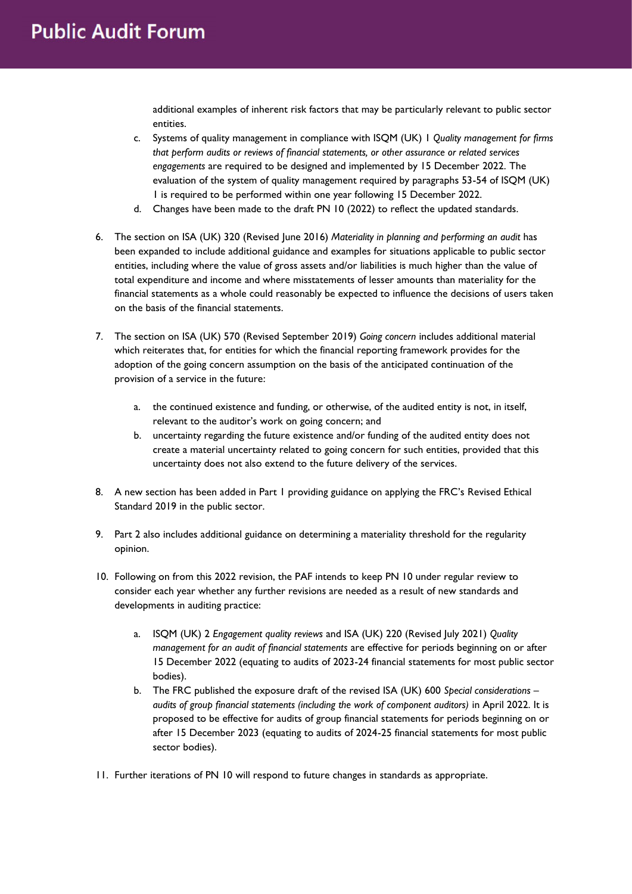additional examples of inherent risk factors that may be particularly relevant to public sector entities.

- c. Systems of quality management in compliance with ISQM (UK) 1 *Quality management for firms that perform audits or reviews of financial statements, or other assurance or related services engagements* are required to be designed and implemented by 15 December 2022. The evaluation of the system of quality management required by paragraphs 53-54 of ISQM (UK) 1 is required to be performed within one year following 15 December 2022.
- d. Changes have been made to the draft PN 10 (2022) to reflect the updated standards.
- 6. The section on ISA (UK) 320 (Revised June 2016) *Materiality in planning and performing an audit* has been expanded to include additional guidance and examples for situations applicable to public sector entities, including where the value of gross assets and/or liabilities is much higher than the value of total expenditure and income and where misstatements of lesser amounts than materiality for the financial statements as a whole could reasonably be expected to influence the decisions of users taken on the basis of the financial statements.
- 7. The section on ISA (UK) 570 (Revised September 2019) *Going concern* includes additional material which reiterates that, for entities for which the financial reporting framework provides for the adoption of the going concern assumption on the basis of the anticipated continuation of the provision of a service in the future:
	- a. the continued existence and funding, or otherwise, of the audited entity is not, in itself, relevant to the auditor's work on going concern; and
	- b. uncertainty regarding the future existence and/or funding of the audited entity does not create a material uncertainty related to going concern for such entities, provided that this uncertainty does not also extend to the future delivery of the services.
- 8. A new section has been added in Part I providing guidance on applying the FRC's Revised Ethical Standard 2019 in the public sector.
- 9. Part 2 also includes additional guidance on determining a materiality threshold for the regularity opinion.
- 10. Following on from this 2022 revision, the PAF intends to keep PN 10 under regular review to consider each year whether any further revisions are needed as a result of new standards and developments in auditing practice:
	- a. ISQM (UK) 2 *Engagement quality reviews* and ISA (UK) 220 (Revised July 2021) *Quality management for an audit of financial statements* are effective for periods beginning on or after 15 December 2022 (equating to audits of 2023-24 financial statements for most public sector bodies).
	- b. The FRC published the exposure draft of the revised ISA (UK) 600 *Special considerations – audits of group financial statements (including the work of component auditors)* in April 2022. It is proposed to be effective for audits of group financial statements for periods beginning on or after 15 December 2023 (equating to audits of 2024-25 financial statements for most public sector bodies).
- 11. Further iterations of PN 10 will respond to future changes in standards as appropriate.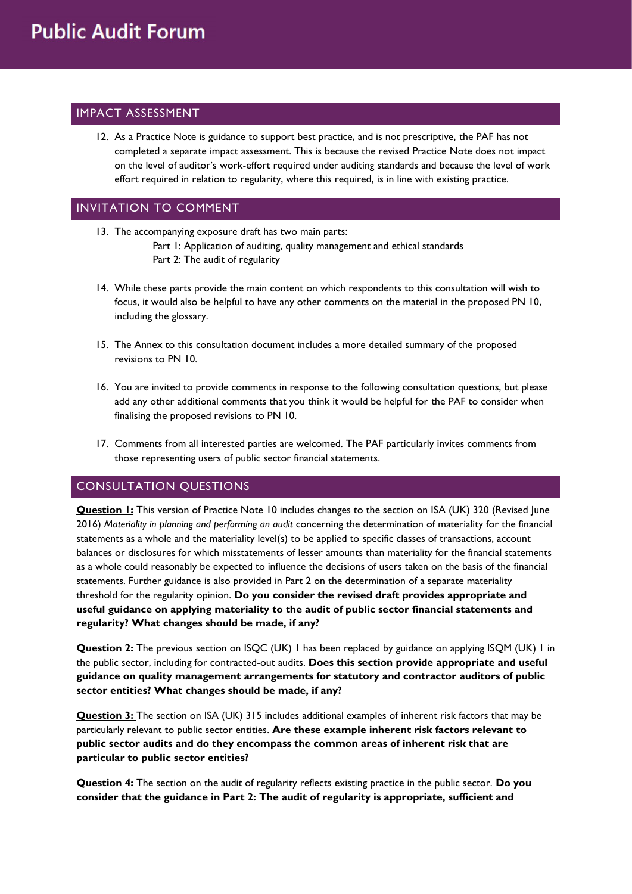#### IMPACT ASSESSMENT

12. As a Practice Note is guidance to support best practice, and is not prescriptive, the PAF has not completed a separate impact assessment. This is because the revised Practice Note does not impact on the level of auditor's work-effort required under auditing standards and because the level of work effort required in relation to regularity, where this required, is in line with existing practice.

#### INVITATION TO COMMENT

13. The accompanying exposure draft has two main parts:

Part 1: Application of auditing, quality management and ethical standards Part 2: The audit of regularity

- 14. While these parts provide the main content on which respondents to this consultation will wish to focus, it would also be helpful to have any other comments on the material in the proposed PN 10, including the glossary.
- 15. The Annex to this consultation document includes a more detailed summary of the proposed revisions to PN 10.
- 16. You are invited to provide comments in response to the following consultation questions, but please add any other additional comments that you think it would be helpful for the PAF to consider when finalising the proposed revisions to PN 10.
- 17. Comments from all interested parties are welcomed. The PAF particularly invites comments from those representing users of public sector financial statements.

#### CONSULTATION QUESTIONS

**Question I:** This version of Practice Note 10 includes changes to the section on ISA (UK) 320 (Revised June 2016) *Materiality in planning and performing an audit* concerning the determination of materiality for the financial statements as a whole and the materiality level(s) to be applied to specific classes of transactions, account balances or disclosures for which misstatements of lesser amounts than materiality for the financial statements as a whole could reasonably be expected to influence the decisions of users taken on the basis of the financial statements. Further guidance is also provided in Part 2 on the determination of a separate materiality threshold for the regularity opinion. **Do you consider the revised draft provides appropriate and useful guidance on applying materiality to the audit of public sector financial statements and regularity? What changes should be made, if any?**

**Question 2:** The previous section on ISQC (UK) 1 has been replaced by guidance on applying ISQM (UK) 1 in the public sector, including for contracted-out audits. **Does this section provide appropriate and useful guidance on quality management arrangements for statutory and contractor auditors of public sector entities? What changes should be made, if any?**

**Question 3:** The section on ISA (UK) 315 includes additional examples of inherent risk factors that may be particularly relevant to public sector entities. **Are these example inherent risk factors relevant to public sector audits and do they encompass the common areas of inherent risk that are particular to public sector entities?**

**Question 4:** The section on the audit of regularity reflects existing practice in the public sector. **Do you consider that the guidance in Part 2: The audit of regularity is appropriate, sufficient and**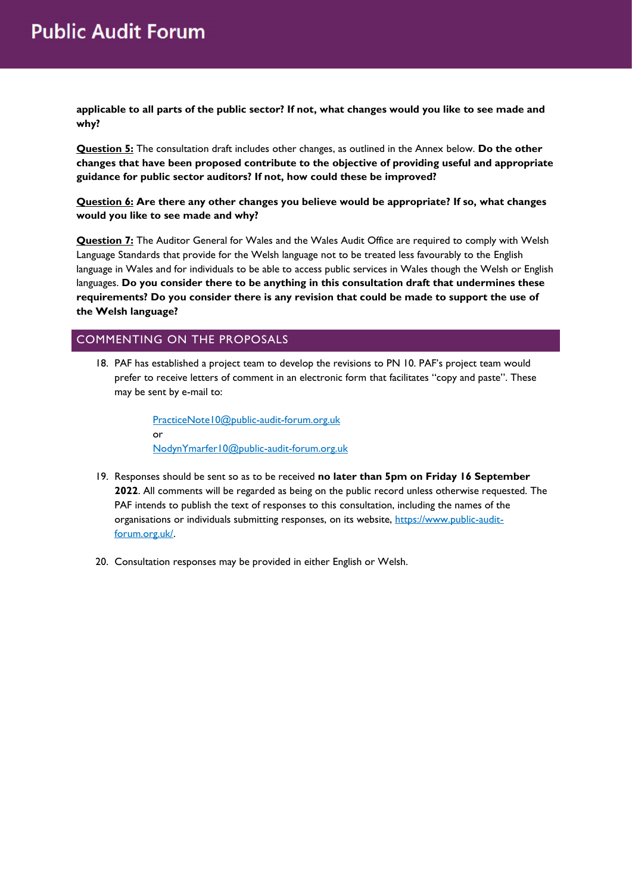**applicable to all parts of the public sector? If not, what changes would you like to see made and why?**

**Question 5:** The consultation draft includes other changes, as outlined in the Annex below. **Do the other changes that have been proposed contribute to the objective of providing useful and appropriate guidance for public sector auditors? If not, how could these be improved?** 

**Question 6: Are there any other changes you believe would be appropriate? If so, what changes would you like to see made and why?**

**Question 7:** The Auditor General for Wales and the Wales Audit Office are required to comply with Welsh Language Standards that provide for the Welsh language not to be treated less favourably to the English language in Wales and for individuals to be able to access public services in Wales though the Welsh or English languages. **Do you consider there to be anything in this consultation draft that undermines these requirements? Do you consider there is any revision that could be made to support the use of the Welsh language?**

#### COMMENTING ON THE PROPOSALS

18. PAF has established a project team to develop the revisions to PN 10. PAF's project team would prefer to receive letters of comment in an electronic form that facilitates ''copy and paste''. These may be sent by e-mail to:

> [PracticeNote10@public-audit-forum.org.uk](mailto:PracticeNote10@public-audit-forum.org.uk) or [NodynYmarfer10@public-audit-forum.org.uk](mailto:NodynYmarfer10@public-audit-forum.org.uk)

- 19. Responses should be sent so as to be received **no later than 5pm on Friday 16 September 2022**. All comments will be regarded as being on the public record unless otherwise requested. The PAF intends to publish the text of responses to this consultation, including the names of the organisations or individuals submitting responses, on its website, [https://www.public-audit](https://www.public-audit-forum.org.uk/)[forum.org.uk/.](https://www.public-audit-forum.org.uk/)
- 20. Consultation responses may be provided in either English or Welsh.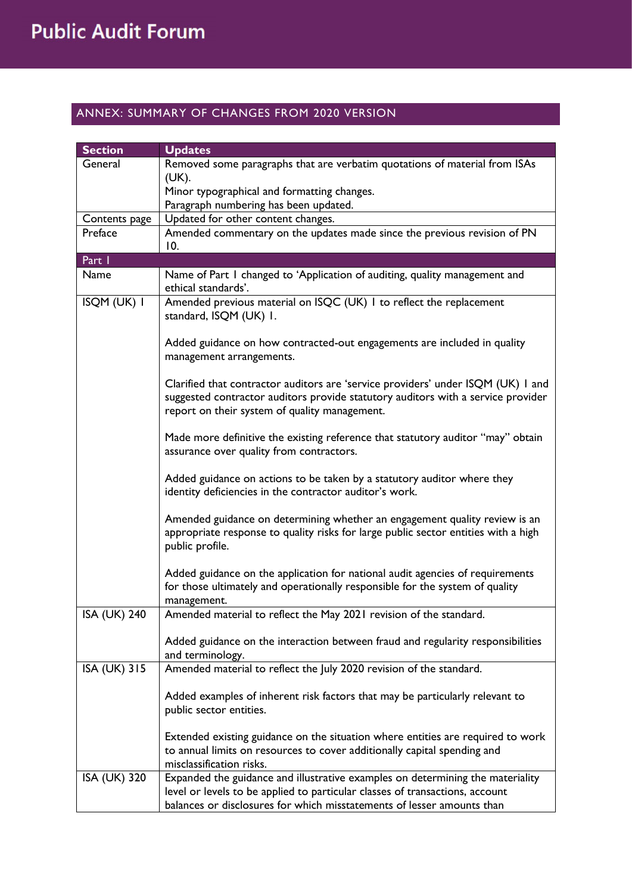### ANNEX: SUMMARY OF CHANGES FROM 2020 VERSION

| <b>Section</b>      | <b>Updates</b>                                                                                                                                                                                                                           |
|---------------------|------------------------------------------------------------------------------------------------------------------------------------------------------------------------------------------------------------------------------------------|
| General             | Removed some paragraphs that are verbatim quotations of material from ISAs                                                                                                                                                               |
|                     | (UK).                                                                                                                                                                                                                                    |
|                     | Minor typographical and formatting changes.                                                                                                                                                                                              |
|                     | Paragraph numbering has been updated.                                                                                                                                                                                                    |
| Contents page       | Updated for other content changes.                                                                                                                                                                                                       |
| Preface             | Amended commentary on the updates made since the previous revision of PN<br>10.                                                                                                                                                          |
| Part I              |                                                                                                                                                                                                                                          |
| Name                | Name of Part I changed to 'Application of auditing, quality management and<br>ethical standards'.                                                                                                                                        |
| ISQM (UK) I         | Amended previous material on ISQC (UK) I to reflect the replacement<br>standard, ISQM (UK) 1.                                                                                                                                            |
|                     | Added guidance on how contracted-out engagements are included in quality<br>management arrangements.                                                                                                                                     |
|                     | Clarified that contractor auditors are 'service providers' under ISQM (UK) I and<br>suggested contractor auditors provide statutory auditors with a service provider<br>report on their system of quality management.                    |
|                     | Made more definitive the existing reference that statutory auditor "may" obtain<br>assurance over quality from contractors.                                                                                                              |
|                     | Added guidance on actions to be taken by a statutory auditor where they<br>identity deficiencies in the contractor auditor's work.                                                                                                       |
|                     | Amended guidance on determining whether an engagement quality review is an<br>appropriate response to quality risks for large public sector entities with a high<br>public profile.                                                      |
|                     | Added guidance on the application for national audit agencies of requirements<br>for those ultimately and operationally responsible for the system of quality<br>management.                                                             |
| <b>ISA (UK) 240</b> | Amended material to reflect the May 2021 revision of the standard.                                                                                                                                                                       |
|                     | Added guidance on the interaction between fraud and regularity responsibilities<br>and terminology.                                                                                                                                      |
| <b>ISA (UK) 315</b> | Amended material to reflect the July 2020 revision of the standard.                                                                                                                                                                      |
|                     | Added examples of inherent risk factors that may be particularly relevant to<br>public sector entities.                                                                                                                                  |
|                     | Extended existing guidance on the situation where entities are required to work<br>to annual limits on resources to cover additionally capital spending and<br>misclassification risks.                                                  |
| <b>ISA (UK) 320</b> | Expanded the guidance and illustrative examples on determining the materiality<br>level or levels to be applied to particular classes of transactions, account<br>balances or disclosures for which misstatements of lesser amounts than |